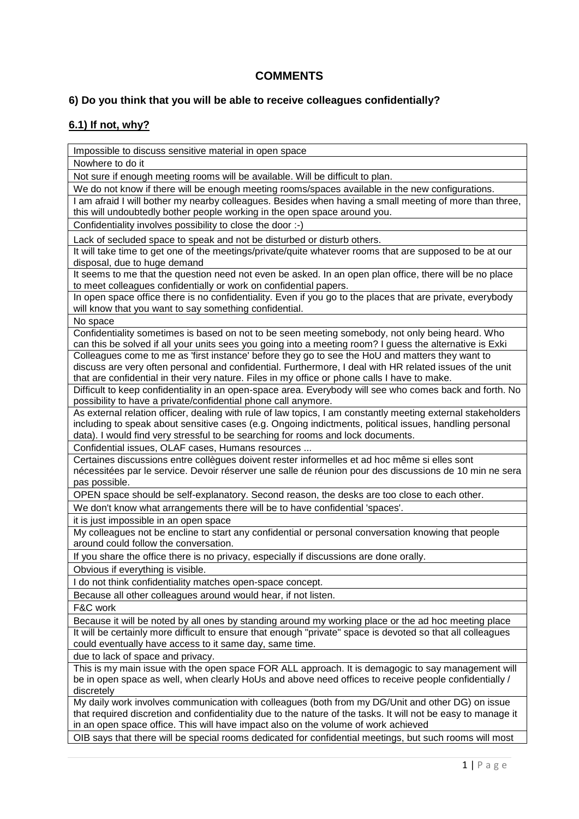## **COMMENTS**

## **6) Do you think that you will be able to receive colleagues confidentially?**

## **6.1) If not, why?**

Impossible to discuss sensitive material in open space Nowhere to do it Not sure if enough meeting rooms will be available. Will be difficult to plan. We do not know if there will be enough meeting rooms/spaces available in the new configurations. I am afraid I will bother my nearby colleagues. Besides when having a small meeting of more than three, this will undoubtedly bother people working in the open space around you. Confidentiality involves possibility to close the door :-) Lack of secluded space to speak and not be disturbed or disturb others. It will take time to get one of the meetings/private/quite whatever rooms that are supposed to be at our disposal, due to huge demand It seems to me that the question need not even be asked. In an open plan office, there will be no place to meet colleagues confidentially or work on confidential papers. In open space office there is no confidentiality. Even if you go to the places that are private, everybody will know that you want to say something confidential. No space Confidentiality sometimes is based on not to be seen meeting somebody, not only being heard. Who can this be solved if all your units sees you going into a meeting room? I guess the alternative is Exki Colleagues come to me as 'first instance' before they go to see the HoU and matters they want to discuss are very often personal and confidential. Furthermore, I deal with HR related issues of the unit that are confidential in their very nature. Files in my office or phone calls I have to make. Difficult to keep confidentiality in an open-space area. Everybody will see who comes back and forth. No possibility to have a private/confidential phone call anymore. As external relation officer, dealing with rule of law topics, I am constantly meeting external stakeholders including to speak about sensitive cases (e.g. Ongoing indictments, political issues, handling personal data). I would find very stressful to be searching for rooms and lock documents. Confidential issues, OLAF cases, Humans resources ... Certaines discussions entre collègues doivent rester informelles et ad hoc même si elles sont nécessitées par le service. Devoir réserver une salle de réunion pour des discussions de 10 min ne sera pas possible. OPEN space should be self-explanatory. Second reason, the desks are too close to each other. We don't know what arrangements there will be to have confidential 'spaces'. it is just impossible in an open space My colleagues not be encline to start any confidential or personal conversation knowing that people around could follow the conversation. If you share the office there is no privacy, especially if discussions are done orally. Obvious if everything is visible. I do not think confidentiality matches open-space concept. Because all other colleagues around would hear, if not listen. F&C work Because it will be noted by all ones by standing around my working place or the ad hoc meeting place It will be certainly more difficult to ensure that enough "private" space is devoted so that all colleagues could eventually have access to it same day, same time. due to lack of space and privacy. This is my main issue with the open space FOR ALL approach. It is demagogic to say management will

be in open space as well, when clearly HoUs and above need offices to receive people confidentially / discretely My daily work involves communication with colleagues (both from my DG/Unit and other DG) on issue

that required discretion and confidentiality due to the nature of the tasks. It will not be easy to manage it in an open space office. This will have impact also on the volume of work achieved

OIB says that there will be special rooms dedicated for confidential meetings, but such rooms will most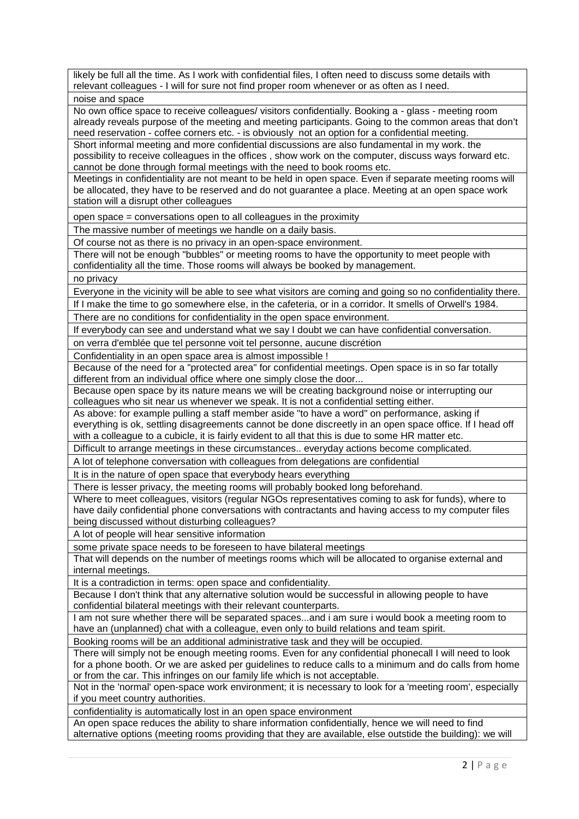likely be full all the time. As I work with confidential files, I often need to discuss some details with relevant colleagues - I will for sure not find proper room whenever or as often as I need.

noise and space

No own office space to receive colleagues/ visitors confidentially. Booking a - glass - meeting room already reveals purpose of the meeting and meeting participants. Going to the common areas that don't need reservation - coffee corners etc. - is obviously not an option for a confidential meeting.

Short informal meeting and more confidential discussions are also fundamental in my work. the possibility to receive colleagues in the offices , show work on the computer, discuss ways forward etc. cannot be done through formal meetings with the need to book rooms etc.

Meetings in confidentiality are not meant to be held in open space. Even if separate meeting rooms will be allocated, they have to be reserved and do not guarantee a place. Meeting at an open space work station will a disrupt other colleagues

open space = conversations open to all colleagues in the proximity

The massive number of meetings we handle on a daily basis.

Of course not as there is no privacy in an open-space environment.

There will not be enough "bubbles" or meeting rooms to have the opportunity to meet people with confidentiality all the time. Those rooms will always be booked by management.

no privacy

Everyone in the vicinity will be able to see what visitors are coming and going so no confidentiality there.

If I make the time to go somewhere else, in the cafeteria, or in a corridor. It smells of Orwell's 1984.

There are no conditions for confidentiality in the open space environment.

If everybody can see and understand what we say I doubt we can have confidential conversation.

on verra d'emblée que tel personne voit tel personne, aucune discrétion

Confidentiality in an open space area is almost impossible !

Because of the need for a "protected area" for confidential meetings. Open space is in so far totally different from an individual office where one simply close the door...

Because open space by its nature means we will be creating background noise or interrupting our colleagues who sit near us whenever we speak. It is not a confidential setting either.

As above: for example pulling a staff member aside "to have a word" on performance, asking if everything is ok, settling disagreements cannot be done discreetly in an open space office. If I head off with a colleague to a cubicle, it is fairly evident to all that this is due to some HR matter etc.

Difficult to arrange meetings in these circumstances.. everyday actions become complicated.

A lot of telephone conversation with colleagues from delegations are confidential

It is in the nature of open space that everybody hears everything

There is lesser privacy, the meeting rooms will probably booked long beforehand.

Where to meet colleagues, visitors (regular NGOs representatives coming to ask for funds), where to have daily confidential phone conversations with contractants and having access to my computer files being discussed without disturbing colleagues?

A lot of people will hear sensitive information

some private space needs to be foreseen to have bilateral meetings

That will depends on the number of meetings rooms which will be allocated to organise external and internal meetings.

It is a contradiction in terms: open space and confidentiality.

Because I don't think that any alternative solution would be successful in allowing people to have confidential bilateral meetings with their relevant counterparts.

I am not sure whether there will be separated spaces...and i am sure i would book a meeting room to have an (unplanned) chat with a colleague, even only to build relations and team spirit.

Booking rooms will be an additional administrative task and they will be occupied.

There will simply not be enough meeting rooms. Even for any confidential phonecall I will need to look for a phone booth. Or we are asked per guidelines to reduce calls to a minimum and do calls from home or from the car. This infringes on our family life which is not acceptable.

Not in the 'normal' open-space work environment; it is necessary to look for a 'meeting room', especially if you meet country authorities.

confidentiality is automatically lost in an open space environment

An open space reduces the ability to share information confidentially, hence we will need to find alternative options (meeting rooms providing that they are available, else outstide the building): we will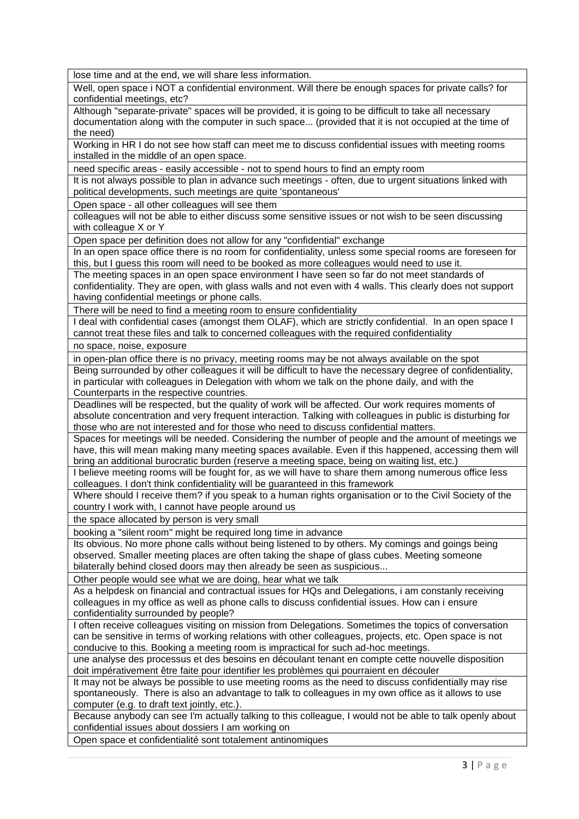lose time and at the end, we will share less information.

Well, open space i NOT a confidential environment. Will there be enough spaces for private calls? for confidential meetings, etc?

Although "separate-private" spaces will be provided, it is going to be difficult to take all necessary documentation along with the computer in such space... (provided that it is not occupied at the time of the need)

Working in HR I do not see how staff can meet me to discuss confidential issues with meeting rooms installed in the middle of an open space.

need specific areas - easily accessible - not to spend hours to find an empty room

It is not always possible to plan in advance such meetings - often, due to urgent situations linked with political developments, such meetings are quite 'spontaneous'

Open space - all other colleagues will see them

colleagues will not be able to either discuss some sensitive issues or not wish to be seen discussing with colleague X or Y

Open space per definition does not allow for any "confidential" exchange

In an open space office there is no room for confidentiality, unless some special rooms are foreseen for this, but I guess this room will need to be booked as more colleagues would need to use it.

The meeting spaces in an open space environment I have seen so far do not meet standards of confidentiality. They are open, with glass walls and not even with 4 walls. This clearly does not support having confidential meetings or phone calls.

There will be need to find a meeting room to ensure confidentiality

I deal with confidential cases (amongst them OLAF), which are strictly confidential. In an open space I cannot treat these files and talk to concerned colleagues with the required confidentiality

no space, noise, exposure

in open-plan office there is no privacy, meeting rooms may be not always available on the spot Being surrounded by other colleagues it will be difficult to have the necessary degree of confidentiality, in particular with colleagues in Delegation with whom we talk on the phone daily, and with the Counterparts in the respective countries.

Deadlines will be respected, but the quality of work will be affected. Our work requires moments of absolute concentration and very frequent interaction. Talking with colleagues in public is disturbing for those who are not interested and for those who need to discuss confidential matters.

Spaces for meetings will be needed. Considering the number of people and the amount of meetings we have, this will mean making many meeting spaces available. Even if this happened, accessing them will bring an additional burocratic burden (reserve a meeting space, being on waiting list, etc.)

I believe meeting rooms will be fought for, as we will have to share them among numerous office less colleagues. I don't think confidentiality will be guaranteed in this framework

Where should I receive them? if you speak to a human rights organisation or to the Civil Society of the country I work with, I cannot have people around us

the space allocated by person is very small

booking a "silent room" might be required long time in advance

Its obvious. No more phone calls without being listened to by others. My comings and goings being observed. Smaller meeting places are often taking the shape of glass cubes. Meeting someone bilaterally behind closed doors may then already be seen as suspicious...

Other people would see what we are doing, hear what we talk

As a helpdesk on financial and contractual issues for HQs and Delegations, i am constanly receiving colleagues in my office as well as phone calls to discuss confidential issues. How can i ensure confidentiality surrounded by people?

I often receive colleagues visiting on mission from Delegations. Sometimes the topics of conversation can be sensitive in terms of working relations with other colleagues, projects, etc. Open space is not conducive to this. Booking a meeting room is impractical for such ad-hoc meetings.

une analyse des processus et des besoins en découlant tenant en compte cette nouvelle disposition doit impérativement être faite pour identifier les problèmes qui pourraient en découler

It may not be always be possible to use meeting rooms as the need to discuss confidentially may rise spontaneously. There is also an advantage to talk to colleagues in my own office as it allows to use computer (e.g. to draft text jointly, etc.).

Because anybody can see I'm actually talking to this colleague, I would not be able to talk openly about confidential issues about dossiers I am working on

Open space et confidentialité sont totalement antinomiques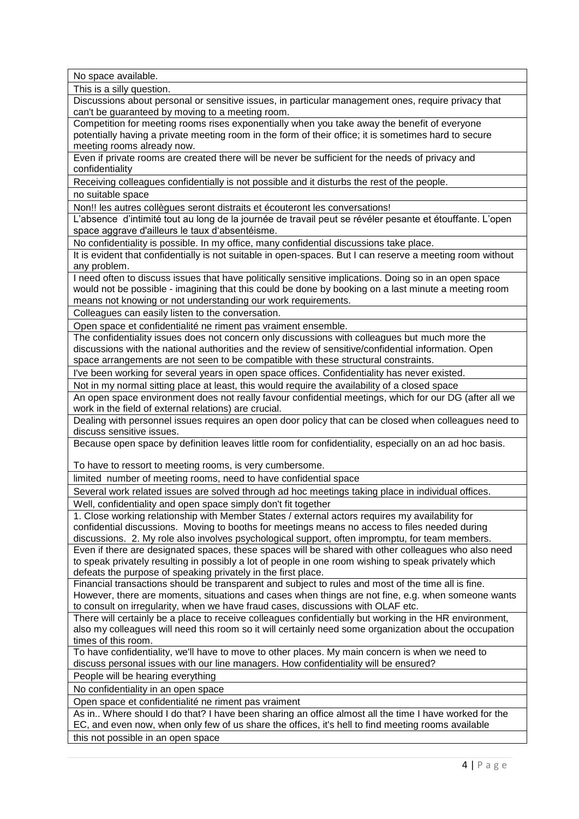No space available.

This is a silly question.

Discussions about personal or sensitive issues, in particular management ones, require privacy that can't be guaranteed by moving to a meeting room.

Competition for meeting rooms rises exponentially when you take away the benefit of everyone potentially having a private meeting room in the form of their office; it is sometimes hard to secure meeting rooms already now.

Even if private rooms are created there will be never be sufficient for the needs of privacy and confidentiality

Receiving colleagues confidentially is not possible and it disturbs the rest of the people.

no suitable space

Non!! les autres collègues seront distraits et écouteront les conversations!

L'absence d'intimité tout au long de la journée de travail peut se révéler pesante et étouffante. L'open space aggrave d'ailleurs le taux d'absentéisme.

No confidentiality is possible. In my office, many confidential discussions take place.

It is evident that confidentially is not suitable in open-spaces. But I can reserve a meeting room without any problem.

I need often to discuss issues that have politically sensitive implications. Doing so in an open space would not be possible - imagining that this could be done by booking on a last minute a meeting room means not knowing or not understanding our work requirements.

Colleagues can easily listen to the conversation.

Open space et confidentialité ne riment pas vraiment ensemble.

The confidentiality issues does not concern only discussions with colleagues but much more the discussions with the national authorities and the review of sensitive/confidential information. Open space arrangements are not seen to be compatible with these structural constraints.

I've been working for several years in open space offices. Confidentiality has never existed.

Not in my normal sitting place at least, this would require the availability of a closed space An open space environment does not really favour confidential meetings, which for our DG (after all we work in the field of external relations) are crucial.

Dealing with personnel issues requires an open door policy that can be closed when colleagues need to discuss sensitive issues.

Because open space by definition leaves little room for confidentiality, especially on an ad hoc basis.

To have to ressort to meeting rooms, is very cumbersome.

limited number of meeting rooms, need to have confidential space

Several work related issues are solved through ad hoc meetings taking place in individual offices.

Well, confidentiality and open space simply don't fit together

1. Close working relationship with Member States / external actors requires my availability for confidential discussions. Moving to booths for meetings means no access to files needed during discussions. 2. My role also involves psychological support, often impromptu, for team members.

Even if there are designated spaces, these spaces will be shared with other colleagues who also need to speak privately resulting in possibly a lot of people in one room wishing to speak privately which defeats the purpose of speaking privately in the first place.

Financial transactions should be transparent and subject to rules and most of the time all is fine. However, there are moments, situations and cases when things are not fine, e.g. when someone wants to consult on irregularity, when we have fraud cases, discussions with OLAF etc.

There will certainly be a place to receive colleagues confidentially but working in the HR environment, also my colleagues will need this room so it will certainly need some organization about the occupation times of this room.

To have confidentiality, we'll have to move to other places. My main concern is when we need to discuss personal issues with our line managers. How confidentiality will be ensured?

People will be hearing everything

No confidentiality in an open space

Open space et confidentialité ne riment pas vraiment

As in.. Where should I do that? I have been sharing an office almost all the time I have worked for the EC, and even now, when only few of us share the offices, it's hell to find meeting rooms available

this not possible in an open space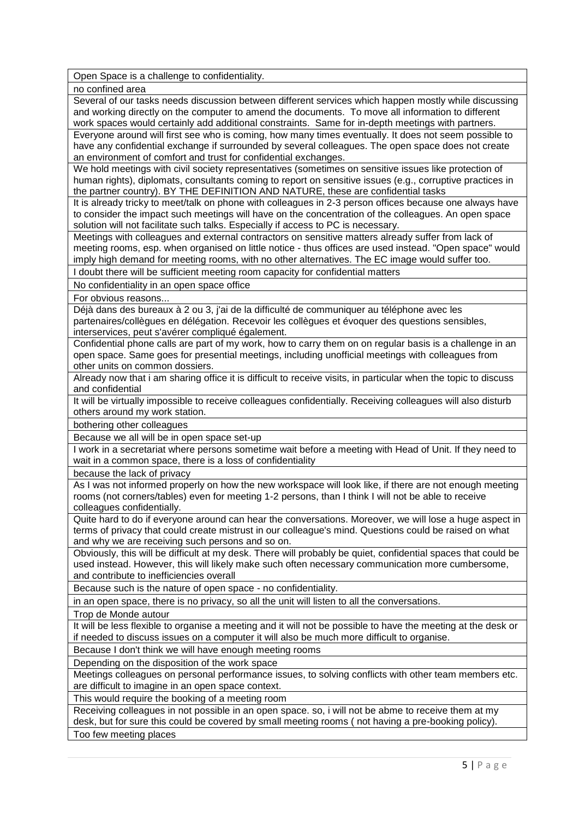Open Space is a challenge to confidentiality.

no confined area

Several of our tasks needs discussion between different services which happen mostly while discussing and working directly on the computer to amend the documents. To move all information to different work spaces would certainly add additional constraints. Same for in-depth meetings with partners. Everyone around will first see who is coming, how many times eventually. It does not seem possible to

have any confidential exchange if surrounded by several colleagues. The open space does not create an environment of comfort and trust for confidential exchanges.

We hold meetings with civil society representatives (sometimes on sensitive issues like protection of human rights), diplomats, consultants coming to report on sensitive issues (e.g., corruptive practices in the partner country). BY THE DEFINITION AND NATURE, these are confidential tasks

It is already tricky to meet/talk on phone with colleagues in 2-3 person offices because one always have to consider the impact such meetings will have on the concentration of the colleagues. An open space solution will not facilitate such talks. Especially if access to PC is necessary.

Meetings with colleagues and external contractors on sensitive matters already suffer from lack of meeting rooms, esp. when organised on little notice - thus offices are used instead. "Open space" would imply high demand for meeting rooms, with no other alternatives. The EC image would suffer too.

I doubt there will be sufficient meeting room capacity for confidential matters

No confidentiality in an open space office

For obvious reasons...

Déjà dans des bureaux à 2 ou 3, j'ai de la difficulté de communiquer au téléphone avec les partenaires/collègues en délégation. Recevoir les collègues et évoquer des questions sensibles, interservices, peut s'avérer compliqué également.

Confidential phone calls are part of my work, how to carry them on on regular basis is a challenge in an open space. Same goes for presential meetings, including unofficial meetings with colleagues from other units on common dossiers.

Already now that i am sharing office it is difficult to receive visits, in particular when the topic to discuss and confidential

It will be virtually impossible to receive colleagues confidentially. Receiving colleagues will also disturb others around my work station.

bothering other colleagues

Because we all will be in open space set-up

I work in a secretariat where persons sometime wait before a meeting with Head of Unit. If they need to wait in a common space, there is a loss of confidentiality

because the lack of privacy

As I was not informed properly on how the new workspace will look like, if there are not enough meeting rooms (not corners/tables) even for meeting 1-2 persons, than I think I will not be able to receive colleagues confidentially.

Quite hard to do if everyone around can hear the conversations. Moreover, we will lose a huge aspect in terms of privacy that could create mistrust in our colleague's mind. Questions could be raised on what and why we are receiving such persons and so on.

Obviously, this will be difficult at my desk. There will probably be quiet, confidential spaces that could be used instead. However, this will likely make such often necessary communication more cumbersome, and contribute to inefficiencies overall

Because such is the nature of open space - no confidentiality.

in an open space, there is no privacy, so all the unit will listen to all the conversations.

Trop de Monde autour

It will be less flexible to organise a meeting and it will not be possible to have the meeting at the desk or if needed to discuss issues on a computer it will also be much more difficult to organise.

Because I don't think we will have enough meeting rooms

Depending on the disposition of the work space

Meetings colleagues on personal performance issues, to solving conflicts with other team members etc. are difficult to imagine in an open space context.

This would require the booking of a meeting room

Receiving colleagues in not possible in an open space. so, i will not be abme to receive them at my desk, but for sure this could be covered by small meeting rooms ( not having a pre-booking policy).

Too few meeting places